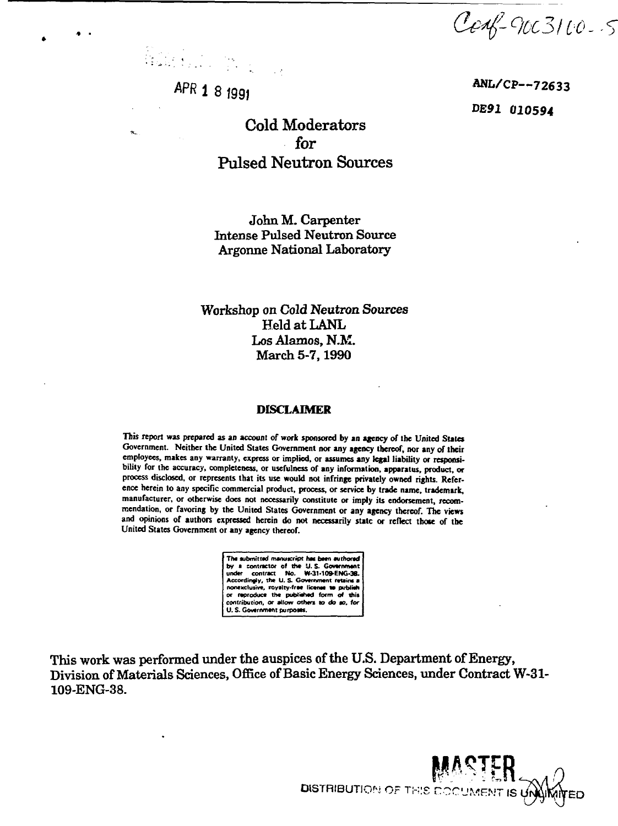Cenf-90C3100-5

Randon Corporation

*APR* **1 8 fgg <sup>|</sup>**

Cold Moderators for Pulsed Neutron Sources

John M. Carpenter Intense Pulsed Neutron Source Argonne National Laboratory

Workshop on Cold Neutron Sources Held at LANL Los Alamos, N.M. March 5-7,1990

#### **DISCLAIMER**

This report was prepared as an account of work sponsored by an agency of the United States **Government. Neither the United States Government nor any agency thereof, nor any of their** employees, makes any warranty, express or implied, or assumes any legal liability or responsi**bility for the accuracy, completeness, or usefulness of any information, apparatus, product, or process disclosed, or represents that its use would not infringe privately owned rights. Reference herein to any specific commercial product, process, or service by trade name, trademark, manufacturer, or otherwise does not necessarily constitute or imply its endorsement, recommendation, or favoring by the United States Government or any agency thereof. The views** and opinions of authors expressed herein do not necessarily state or reflect those of the **United States Government or any agency thereof.**

> **The submitted manuscript twe been authored by a contractor of the** *M.* **S- Government under contract No. W-31-109-ENG-38. Accordingly, the U. S Government retains a nonexclusive, royalty-free licence** *w* **publish or reproduce the pubtiehed form of this contribution, or allow others** *to* **do so,** *for* **U. S. Government purpoeei.**

This work was performed under the auspices of the U.S. Department of Energy, Division of Materials Sciences, Office of Basic Energy Sciences, under Contract W-31- 109-ENG-38.

DISTRIBUTION OF THIS DOCUME!

 **ANL/CP-72633 DE91 010594**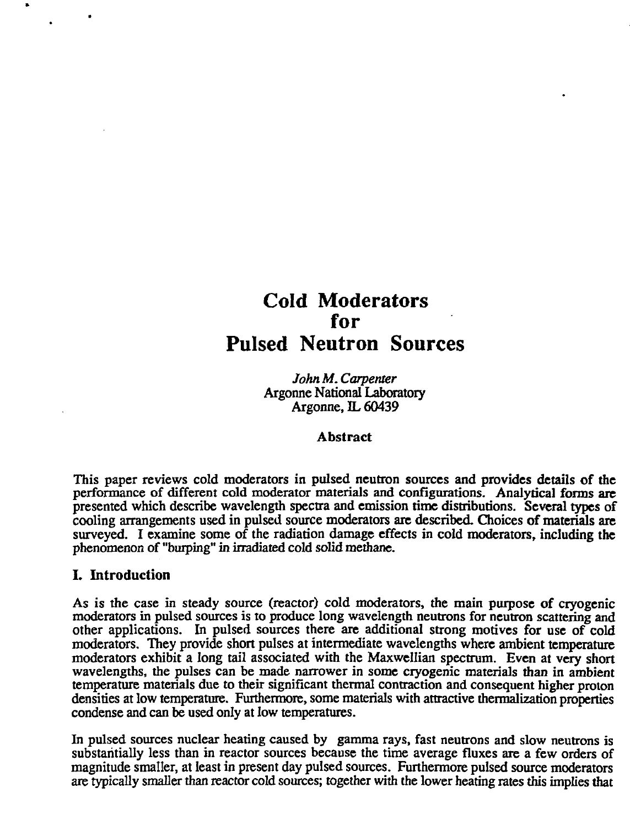# **Cold Moderators for Pulsed Neutron Sources**

*John M. Carpenter* Argonne National Laboratory Argonne. IL 60439

# **Abstract**

This paper reviews cold moderators in pulsed neutron sources and provides details of the performance of different cold moderator materials and configurations. Analytical forms arc presented which describe wavelength spectra and emission time distributions. Several types of cooling arrangements used in pulsed source moderators are described. Choices of materials are surveyed. I examine some of the radiation damage effects in cold moderators, including the phenomenon of "burping" in irradiated cold solid methane.

# **I. Introduction**

As is the case in steady source (reactor) cold moderators, the main purpose of cryogenic moderators in pulsed sources is to produce long wavelength neutrons for neutron scattering and other applications. In pulsed sources there are additional strong motives for use of cold moderators. They provide short pulses at intermediate wavelengths where ambient temperature moderators exhibit a long tail associated with the Maxwellian spectrum. Even at very short wavelengths, the pulses can be made narrower in some cryogenic materials than in ambient temperature materials due to their significant thermal contraction and consequent higher proton densities at low temperature. Furthermore, some materials with attractive thermalization properties condense and can be used only at low temperatures.

In pulsed sources nuclear heating caused by gamma rays, fast neutrons and slow neutrons is substantially less than in reactor sources because the time average fluxes are a few orders of magnitude smaller, at least in present day pulsed sources. Furthermore pulsed source moderators are typically smaller than reactor cold sources; together with the lower heating rates this implies that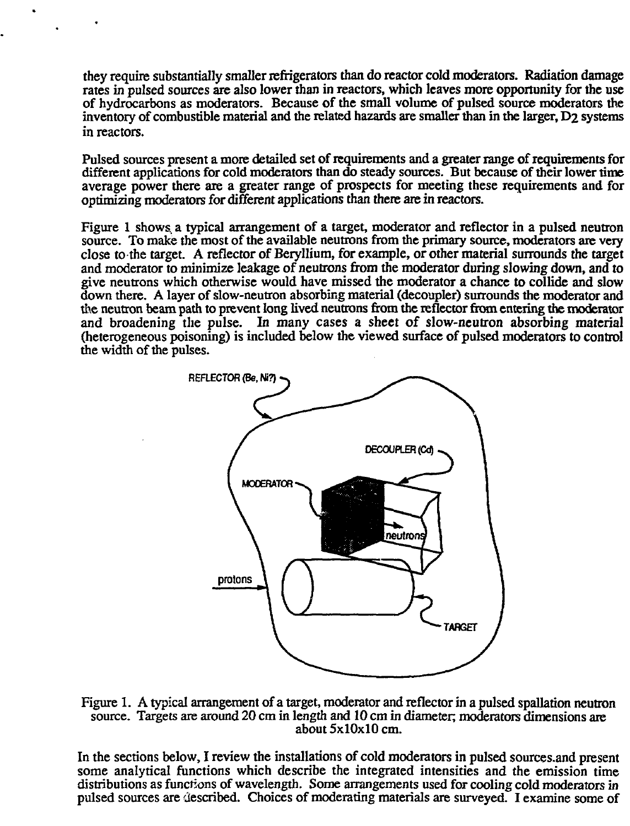they require substantially smaller refrigerators than do reactor cold moderators. Radiation damage rates in pulsed sources are also lower than in reactors, which leaves more opportunity for the use of hydrocarbons as moderators. Because of the small volume of pulsed source moderators the inventory of combustible material and the related hazards are smaller than in the larger, D2 systems in reactors.

Pulsed sources present a more detailed set of requirements and a greater range of requirements for different applications for cold moderators than do steady sources. But because of their lower time average power there are a greater range of prospects for meeting these requirements and for optimizing moderators for different applications than there are in reactors.

Figure 1 shows a typical arrangement of a target, moderator and reflector in a pulsed neutron source. To make the most of the available neutrons from the primary source, moderators are very close to the target. A reflector of Beryllium, for example, or other material surrounds the target and moderator to minimize leakage of neutrons from the moderator during slowing down, and to give neutrons which otherwise would have missed the moderator a chance to collide and slow down there. A layer of slow-neutron absorbing material (decoupler) surrounds the moderator and the neutron beam path to prevent long lived neutrons from the reflector from entering the moderator and broadening the pulse. In many cases a sheet of slow-neutron absorbing material (heterogeneous poisoning) is included below the viewed surface of pulsed moderators to control the width of the pulses.



Figure 1. A typical arrangement of a target, moderator and reflector in a pulsed spallation neutron source. Targets are around 20 cm in length and 10 cm in diameter; moderators dimensions are about 5x10x10 cm.

In the sections below, I review the installations of cold moderators in pulsed sources.and present some analytical functions which describe the integrated intensities and the emission time distributions as functions of wavelength. Some arrangements used for cooling cold moderators in pulsed sources are described. Choices of moderating materials are surveyed. I examine some of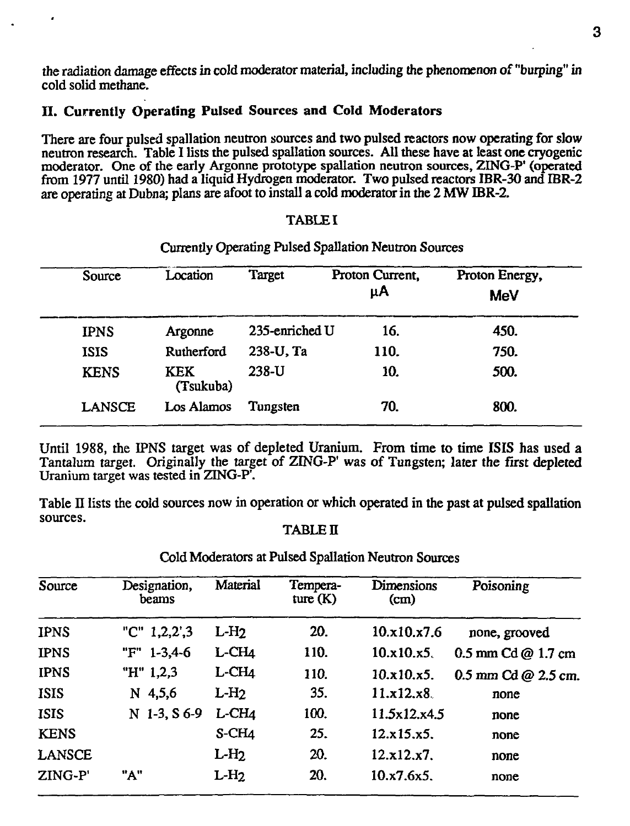the radiation damage effects in cold moderator material, including the phenomenon of "burping" in cold solid methane.

# II. Currently Operating Pulsed Sources and Cold Moderators

There are four pulsed spallation neutron sources and two pulsed reactors now operating for slow neutron research. Table I lists the pulsed spallation sources. All these have at least one cryogenic moderator. One of the early Argonne prototype spallation neutron sources, ZING-P' (operated from 1977 until 1980) had a liquid Hydrogen moderator. Two pulsed reactors IBR-30 and IBR-2 are operating at Dubna; plans are afoot to install a cold moderator in the 2 MW IBR-2.

#### TABLE I

#### Currently Operating Pulsed Spallation Neutron Sources

| Source        | Location                | Target         | Proton Current,<br>μA | Proton Energy,<br><b>MeV</b> |
|---------------|-------------------------|----------------|-----------------------|------------------------------|
| <b>IPNS</b>   | Argonne                 | 235-enriched U | 16.                   | 450.                         |
| <b>ISIS</b>   | Rutherford              | 238-U, Ta      | 110.                  | 750.                         |
| <b>KENS</b>   | <b>KEK</b><br>(Tsukuba) | 238-U          | 10.                   | 500.                         |
| <b>LANSCE</b> | Los Alamos              | Tungsten       | 70.                   | 800.                         |

Until 1988, the IPNS target was of depleted Uranium. From time to time ISIS has used a Tantalum target. Originally the target of ZING-P' was of Tungsten; later the first depleted Uranium target was tested in ZING-P'.

Table II lists the cold sources now in operation or which operated in the past at pulsed spallation sources.

#### TABLE **II**

| Source      | Designation,<br>beams | Material    | Tempera-<br>ture $(K)$ | Dimensions<br>(cm) | Poisoning             |
|-------------|-----------------------|-------------|------------------------|--------------------|-----------------------|
| <b>IPNS</b> | "C" $1,2,2',3$        | $L-H2$      | 20.                    | 10.x10.x7.6        | none, grooved         |
| <b>IPNS</b> | $1 - 3, 4 - 6$<br>"F" | $L$ -CH $4$ | 110.                   | 10.x10.x5.         | 0.5 mm $Cd @ 1.7 cm$  |
| <b>IPNS</b> | "H" 1,2,3             | $L$ -CH $4$ | 110.                   | 10.x10.x5.         | $0.5$ mm Cd @ 2.5 cm. |
| <b>ISIS</b> | $N$ 4,5,6             | $L-H2$      | 35.                    | 11.x12.x8.         | none                  |
| <b>ISIS</b> | N 1-3, S 6-9          | L-CH4       | 100.                   | 11.5x12.x4.5       | none                  |
| <b>KENS</b> |                       | S-CH4       | 25.                    | 12.x15.x5.         | none                  |
| LANSCE      |                       | $L-H2$      | 20.                    | 12.x12.x7.         | none                  |
| ZING-P'     | "A"                   | $L-H2$      | 20.                    | 10.x7.6x5.         | none                  |
|             |                       |             |                        |                    |                       |

Cold Moderators at Pulsed Spallation Neutron Sources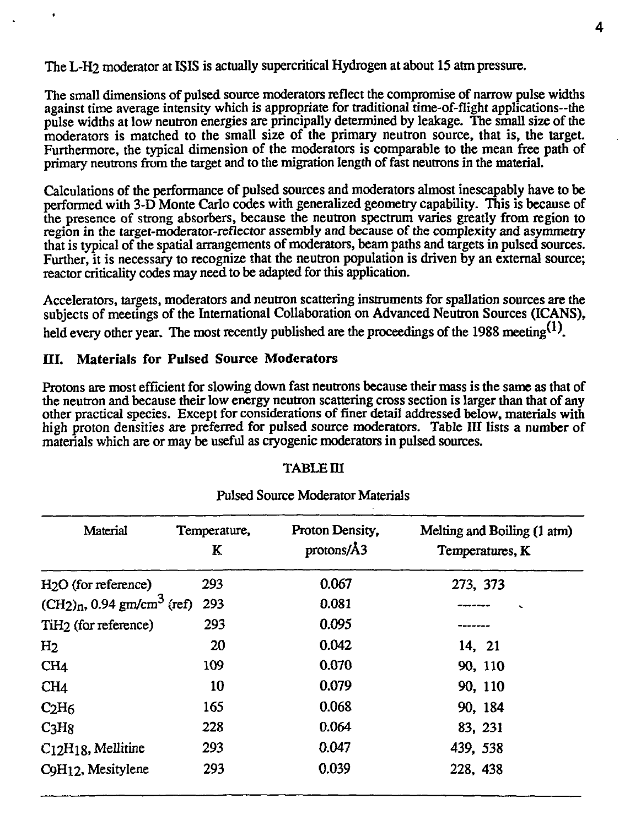The L-H2 moderator at ISIS is actually supercritical Hydrogen at about 15 atm pressure.

The small dimensions of pulsed source moderators reflect the compromise of narrow pulse widths against time average intensity which is appropriate for traditional time-of-flight applications—the pulse widths at low neutron energies are principally determined by leakage. The small size of the moderators is matched to the small size of the primary neutron source, that is, the target. Furthermore, the typical dimension of the moderators is comparable to the mean free path of primary neutrons from the target and to the migration length of fast neutrons in the material.

Calculations of the performance of pulsed sources and moderators almost inescapably have to be performed with 3-D Monte Carlo codes with generalized geometry capability. This is because of the presence of strong absorbers, because the neutron spectrum varies greatly from region to region in the target-moderator-reflector assembly and because of the complexity and asymmetry that is typical of the spatial arrangements of moderators, beam paths and targets in pulsed sources. Further, it is necessary to recognize that the neutron population is driven by an external source: reactor criticality codes may need to be adapted for this application.

Accelerators, targets, moderators and neutron scattering instruments for spallation sources are the subjects of meetings of the International Collaboration on Advanced Neutron Sources (ICANS), held every other year. The most recently published are the proceedings of the 1988 meeting<sup>(1)</sup>.

# **ni. Materials for Pulsed Source Moderators**

Protons are most efficient for slowing down fast neutrons because their mass is the same as that of the neutron and because their low energy neutron scattering cross section is larger than that of any other practical species. Except for considerations of finer detail addressed below, materials with high proton densities are preferred for pulsed source moderators. Table III lists a number of materials which are or may be useful as cryogenic moderators in pulsed sources.

#### TABLEm

| Material                                   | Temperature,<br>K | Proton Density.<br>protons/A3 | Melting and Boiling (1 atm)<br>Temperatures, K |
|--------------------------------------------|-------------------|-------------------------------|------------------------------------------------|
| $H2O$ (for reference)                      | 293               | 0.067                         | 273, 373                                       |
| $(CH_2)_n$ , 0.94 gm/cm <sup>3</sup> (ref) | 293               | 0.081                         |                                                |
| TiH <sub>2</sub> (for reference)           | 293               | 0.095                         |                                                |
| H <sub>2</sub>                             | 20                | 0.042                         | 14, 21                                         |
| CH <sub>4</sub>                            | 109               | 0.070                         | 90, 110                                        |
| CH <sub>4</sub>                            | 10                | 0.079                         | 90, 110                                        |
| C <sub>2</sub> H <sub>6</sub>              | 165               | 0.068                         | 90, 184                                        |
| C <sub>3</sub> H <sub>8</sub>              | 228               | 0.064                         | 83, 231                                        |
| $C12H18$ , Mellitine                       | 293               | 0.047                         | 439, 538                                       |
| C9H12, Mesitylene                          | 293               | 0.039                         | 228, 438                                       |

# Pulsed Source Moderator Materials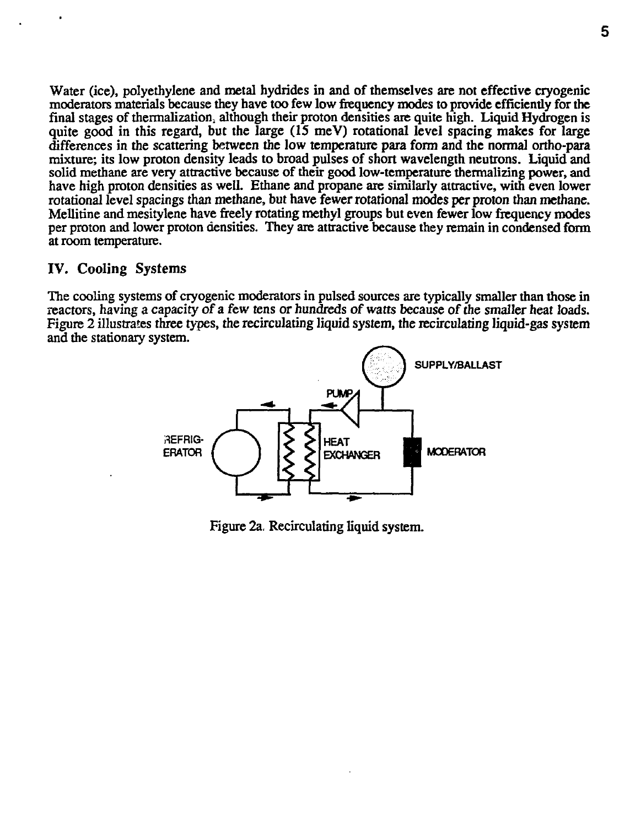Water (ice), polyethylene and metal hydrides in and of themselves are not effective cryogenic moderators materials because they have too few low frequency modes to provide efficiently for the final stages of thermalization; although their proton densities are quite high. Liquid Hydrogen is quite good in this regard, but the large  $(15 \text{ meV})$  rotational level spacing makes for large differences in the scattering between the low temperature para form and the normal ortho-para mixture; its low proton density leads to broad pulses of short wavelength neutrons. Liquid and solid methane are very attractive because of their good low-temperature therrnalizing power, and have high proton densities as well. Ethane and propane are similarly attractive, with even lower rotational level spacings than methane, but have fewer rotational modes per proton than methane. Mellitine and mesitylene have freely rotating methyl groups but even fewer low frequency modes per proton and lower proton densities. They are attractive because they remain in condensed form at room temperature.

# IV. Cooling Systems

The cooling systems of cryogenic moderators in pulsed sources are typically smaller than those in reactors, having a capacity of a few tens or hundreds of watts because of the smaller heat loads. Figure 2 illustrates three types, the recirculating liquid system, the recirculating liquid-gas system and the stationary system.



Figure 2a, Recirculating liquid system.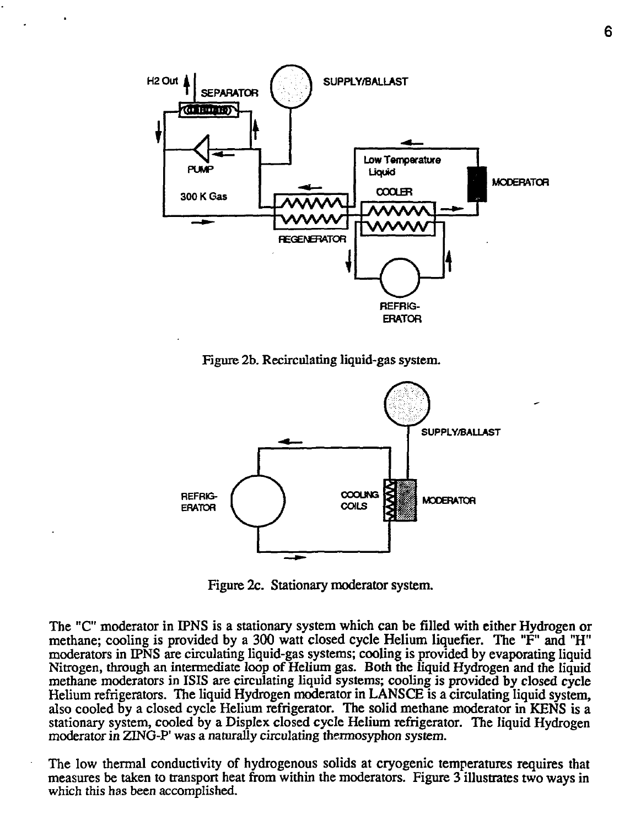

Figure 2b. Recirculating liquid-gas system.



Figure 2c. Stationary moderator system.

The "C" moderator in IPNS is a stationary system which can be filled with either Hydrogen or methane; cooling is provided by a 300 watt closed cycle Helium liquefier. The "F" and "H" moderators in IPNS are circulating liquid-gas systems; cooling is provided by evaporating liquid Nitrogen, through an intermediate loop of Helium gas. Both the liquid Hydrogen and the liquid methane moderators in ISIS are circulating liquid systems; cooling is provided by closed cycle Helium refrigerators. The liquid Hydrogen moderator in LANSCE is a circulating liquid system, also cooled by a closed cycle Helium refrigerator. The solid methane moderator in KENS is a stationary system, cooled by a Displex closed cycle Helium refrigerator. The liquid Hydrogen moderator in ZING-P' was a naturally circulating thermosyphon system.

The low thermal conductivity of hydrogenous solids at cryogenic temperatures requires that measures be taken to transport heat from within the moderators. Figure 3 illustrates two ways in which this has been accomplished.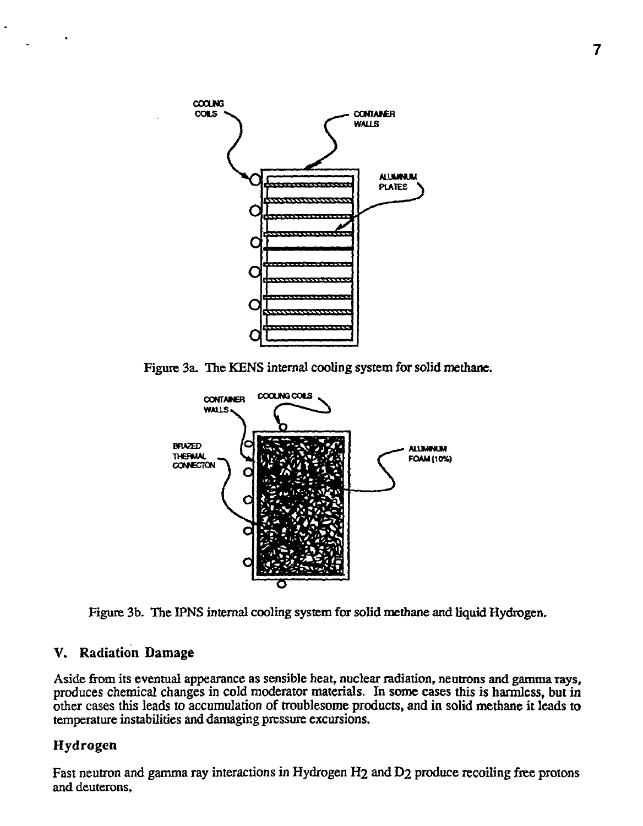

Figure 3a. The KENS internal cooling system for solid methane.



Figure 3b. The IPNS internal cooling system for solid methane and liquid Hydrogen.

# V. Radiation Damage

Aside from its eventual appearance as sensible heat, nuclear radiation, neutrons and gamma rays, produces chemical changes in cold moderator materials. In some cases this is harmless, but in other cases this leads to accumulation of troublesome products, and in solid methane it leads to temperature instabilities and damaging pressure excursions.

# Hydrogen

Fast neutron and gamma ray interactions in Hydrogen H2 and D2 produce recoiling free protons and deuterons,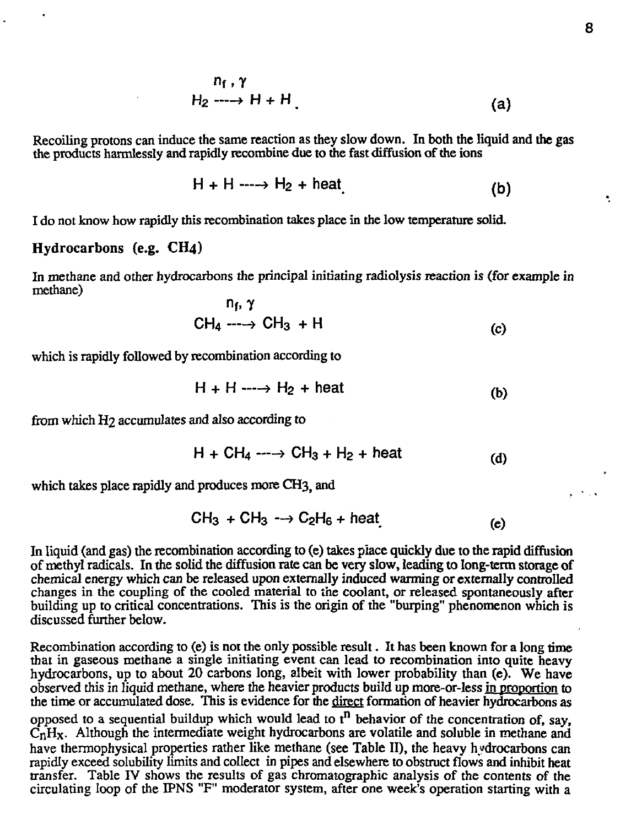$$
n_f, \gamma
$$
  
H<sub>2</sub>  $\longrightarrow$  H + H (a) (a)

Recoiling protons can induce the same reaction as they slow down. In both the liquid and the gas the products harmlessly and rapidly recombine due to die fast diffusion of the ions

$$
H + H \longrightarrow H_2 + heat \tag{b}
$$

I do not know how rapidly this recombination takes place in the low temperature solid.

### **Hydrocarbons** (e.g. **CH4)**

In methane and other hydrocarbons the principal initiating radiolysis reaction is (for example in methane)

$$
n_1, \gamma
$$
  
CH<sub>4</sub> ---  $\rightarrow$  CH<sub>3</sub> + H (c)

which is rapidly followed by recombination according to

$$
H + H \longrightarrow H_2 + \text{heat} \tag{b}
$$

from which H2 accumulates and also according to

$$
H + CH_4 \cdots \rightarrow CH_3 + H_2 + heat
$$
 (d)

which takes place rapidly and produces more CH3, and

$$
CH_3 + CH_3 \longrightarrow C_2H_6 + heat
$$
 (e)

In liquid (and gas) the recombination according to (e) takes place quickly due to the rapid diffusion of methyl radicals. In the solid the diffusion rate can be very slow, leading to long-term storage of chemical energy which can be released upon externally induced warming or externally controlled changes in the coupling of the cooled material to the coolant, or released spontaneously after building up to critical concentrations. This is the origin of the "burping" phenomenon which is discussed further below.

Recombination according to (e) is not the only possible result. It has been known for a long time that in gaseous methane a single initiating event can lead to recombination into quite heavy hydrocarbons, up to about 20 carbons long, albeit with lower probability than (e). We have observed this in liquid methane, where the heavier products build up more-or-less in proportion to the time or accumulated dose. This is evidence for the direct formation of heavier hydrocarbons as opposed to a sequential buildup which would lead to  $t^n$  behavior of the concentration of, say,  $\overline{C_nH_x}$ . Although the intermediate weight hydrocarbons are volatile and soluble in methane and have thermophysical properties rather like methane (see Table II), the heavy hydrocarbons can rapidly exceed solubility limits and collect in pipes and elsewhere to obstruct flows and inhibit heat transfer. Table TV shows the results of gas chromatographic analysis of the contents of the circulating loop of the IPNS "F" moderator system, after one week's operation starting with a

 $\sim$   $\sim$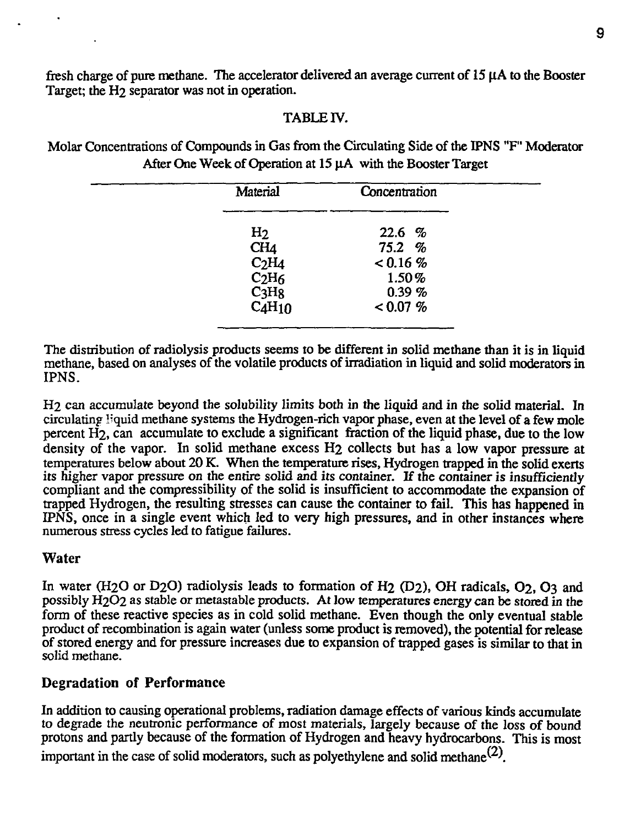fresh charge of pure methane. The accelerator delivered an average current of  $15 \mu A$  to the Booster Target; the H<sub>2</sub> separator was not in operation.

# TABLE IV.

Molar Concentrations of Compounds in Gas from the Circulating Side of the 1PNS "F" Moderator After One Week of Operation at 15 uA with the Booster Target

| Material                                                                                            | Concentration                           |  |
|-----------------------------------------------------------------------------------------------------|-----------------------------------------|--|
| H <sub>2</sub><br>CH <sub>4</sub><br>C <sub>2</sub> H <sub>4</sub><br>C <sub>2</sub> H <sub>6</sub> | 22.6 %<br>75.2%<br>$< 0.16 \%$<br>1.50% |  |
| C <sub>3</sub> H <sub>8</sub><br>CAH <sub>10</sub>                                                  | 0.39~%<br>$< 0.07 \%$                   |  |

The distribution of radiolysis products seems to be different in solid methane than it is in liquid methane, based on analyses of the volatile products of irradiation in liquid and solid moderators in IPNS.

H2 can accumulate beyond the solubility limits both in the liquid and in the solid material. In circulating liquid methane systems the Hydrogen-rich vapor phase, even at the level of a few mole percent H<sub>2</sub>, can accumulate to exclude a significant fraction of the liquid phase, due to the low density of the vapor. In solid methane excess H2 collects but has a low vapor pressure at temperatures below about 20 K. When the temperature rises, Hydrogen trapped in the solid exerts its higher vapor pressure on the entire solid and its container. If the container is insufficiently compliant and the compressibility of the solid is insufficient to accommodate the expansion of trapped Hydrogen, the resulting stresses can cause the container to fail. This has happened in IPNS, once in a single event which led to very high pressures, and in other instances where numerous stress cycles led to fatigue failures.

# **Water**

In water (H<sub>2</sub>O or D<sub>2</sub>O) radiolysis leads to formation of H<sub>2</sub> (D<sub>2</sub>), OH radicals, O<sub>2</sub>, O<sub>3</sub> and possibly H2O2 as stable or metastable products. At low temperatures energy can be stored in the form of these reactive species as in cold solid methane. Even though the only eventual stable product of recombination is again water (unless some product is removed), the potential for release of stored energy and for pressure increases due to expansion of trapped gases is similar to that in solid methane.

# **Degradation of Performance**

In addition to causing operational problems, radiation damage effects of various kinds accumulate to degrade the neutronic performance of most materials, largely because of the loss of bound protons and partly because of the formation of Hydrogen and heavy hydrocarbons. This is most important in the case of solid moderators, such as polyethylene and solid methane<sup>(2)</sup>.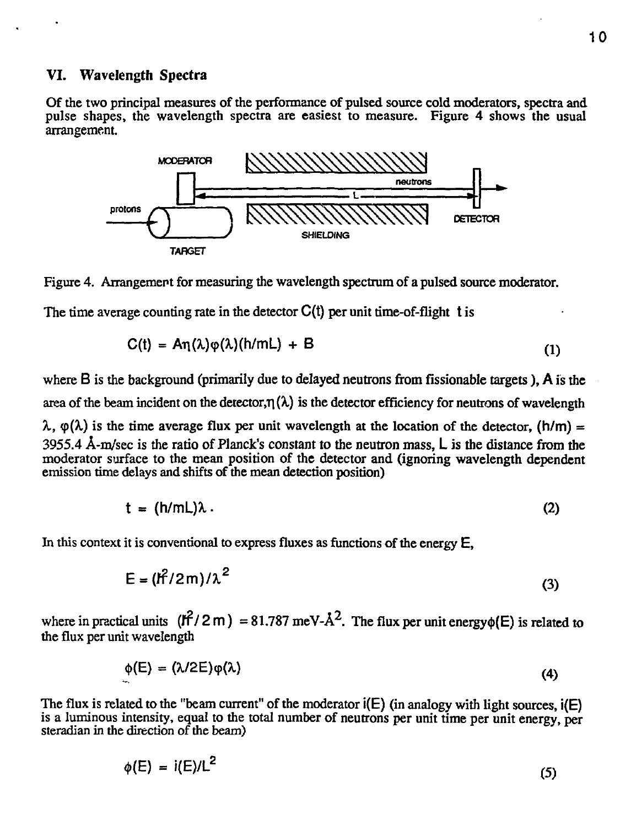# **VI. Wavelength Spectra**

Of the two principal measures of the performance of pulsed source cold moderators, spectra and pulse shapes, the wavelength spectra are easiest to measure. Figure 4 shows the usual arrangement.





The time average counting rate in the detector  $C(t)$  per unit time-of-flight t is

$$
C(t) = An(\lambda)\varphi(\lambda)(h/mL) + B \tag{1}
$$

where B is the background (primarily due to delayed neutrons from fissionable targets), A is the area of the beam incident on the detector, $\eta(\lambda)$  is the detector efficiency for neutrons of wavelength  $\lambda$ ,  $\varphi(\lambda)$  is the time average flux per unit wavelength at the location of the detector, (h/m) =

3955.4 A-m/sec is the ratio of Planck's constant to the neutron mass, L is the distance from the moderator surface to the mean position of the detector and (ignoring wavelength dependent emission time delays and shifts of the mean detection position)

$$
t = (h/mL)\lambda \tag{2}
$$

In this context it is conventional to express fluxes as functions of the energy  $E$ ,

$$
E = (l^2/2m)/\lambda^2
$$
 (3)

where in practical units  $(\hat{H}/2 \text{ m}) = 81.787 \text{ meV} \cdot \hat{A}^2$ . The flux per unit energy of E) is related to the flux per unit wavelength

$$
\phi(E) = (\lambda/2E)\phi(\lambda) \tag{4}
$$

The flux is related to the "beam current" of the moderator  $\mathbf{i}(\mathsf{E})$  (in analogy with light sources,  $\mathbf{i}(\mathsf{E})$ ) is a luminous intensity, equal to the total number of neutrons per unit time per unit energy, per steradian in the direction of the beam)

$$
\phi(E) = i(E)/L^2 \tag{5}
$$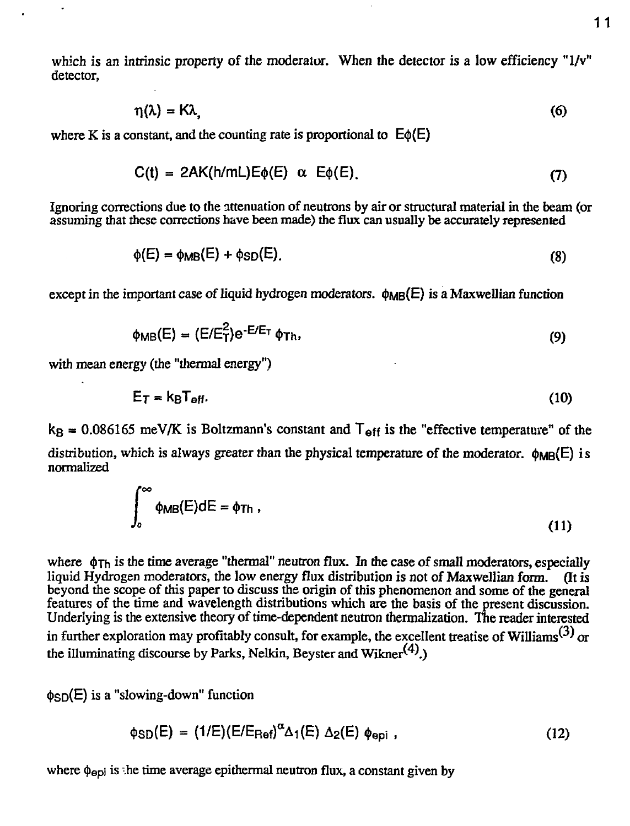which is an intrinsic property of the moderator. When the detector is a low efficiency "1/v" detector,

$$
\eta(\lambda) = K\lambda,\tag{6}
$$

where K is a constant, and the counting rate is proportional to  $E\phi(E)$ 

$$
C(t) = 2AK(h/ml)E\phi(E) \alpha E\phi(E).
$$
 (7)

Ignoring corrections due to the attenuation of neutrons by air or structural material in the beam (or assuming that these corrections have been made) the flux can usually be accurately represented

$$
\phi(E) = \phi_{MB}(E) + \phi_{SD}(E). \tag{8}
$$

except in the important case of liquid hydrogen moderators.  $\phi_{MB}(E)$  is a Maxwellian function

$$
\phi_{MB}(E) = (E/E_T^2) e^{-E/E_T} \phi_{Th}, \qquad (9)
$$

with mean energy (the "thermal energy")

$$
E_T = k_B T_{\text{eff}}.\tag{10}
$$

 $k_B = 0.086165$  meV/K is Boltzmann's constant and  $T_{eff}$  is the "effective temperature" of the distribution, which is always greater than the physical temperature of the moderator.  $\phi_{MR}(E)$  is normalized

$$
\int_0^\infty \phi_{MB}(E)dE = \phi_{Th} \tag{11}
$$

where  $\phi_{\text{Th}}$  is the time average "thermal" neutron flux. In the case of small moderators, especially liquid Hydrogen moderators, the low energy flux distribution is not of Maxwellian form. (It is beyond the scope of this paper to discuss the origin of this phenomenon and some of the general features of the time and wavelength distributions which are the basis of the present discussion. Underlying is the extensive theory of time-dependent neutron thennalization. The reader interested in further exploration may profitably consult, for example, the excellent treatise of Williams<sup>(3)</sup> or the illuminating discourse by Parks, Nelkin, Beyster and Wikner $(4)$ )

 $\phi_{SD}(E)$  is a "slowing-down" function

$$
\phi_{SD}(E) = (1/E)(E/E_{Ref})^{\alpha} \Delta_1(E) \Delta_2(E) \phi_{epi} , \qquad (12)
$$

where  $\phi_{epi}$  is the time average epithermal neutron flux, a constant given by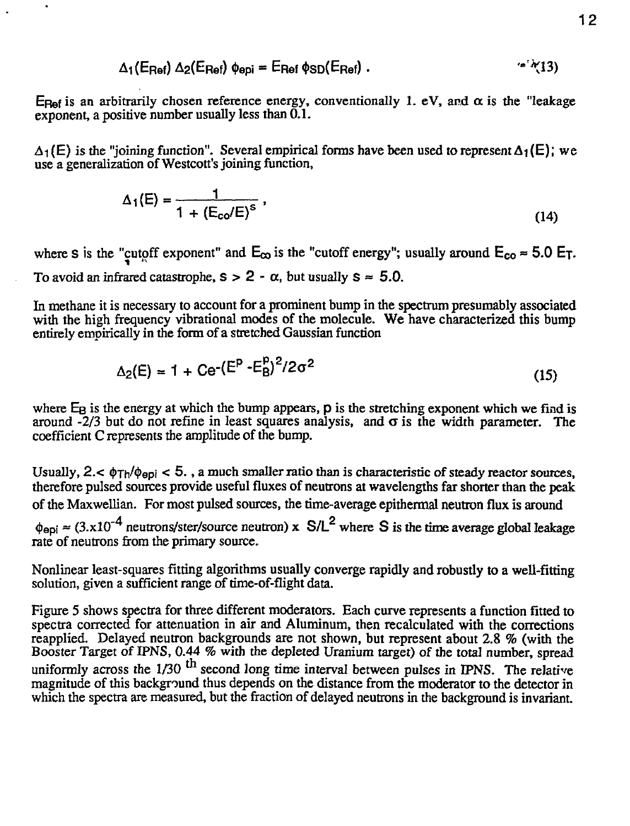$$
\Delta_1(\mathsf{E}_{\mathsf{Ref}}) \; \Delta_2(\mathsf{E}_{\mathsf{Ref}}) \; \phi_{\mathsf{epi}} = \mathsf{E}_{\mathsf{Ref}} \; \phi_{\mathsf{SD}}(\mathsf{E}_{\mathsf{Ref}}) \; . \tag{4.713}
$$

Ep<sub>ef</sub> is an arbitrarily chosen reference energy, conventionally 1. eV, and  $\alpha$  is the "leakage" exponent, a positive number usually less than  $\overline{0.1}$ .

 $\Delta_1(E)$  is the "joining function". Several empirical forms have been used to represent  $\Delta_1(E)$ ; we use a generalization of Westcott's joining function,

$$
\Delta_1(E) = \frac{1}{1 + (E_{\rm co}/E)^s} \,, \tag{14}
$$

where s is the "cutoff exponent" and  $E_{\infty}$  is the "cutoff energy"; usually around  $E_{\infty} \approx 5.0$  E<sub>T</sub>. To avoid an infrared catastrophe,  $s > 2 - \alpha$ , but usually  $s \approx 5.0$ .

In methane it is necessary to account for a prominent bump in the spectrum presumably associated with the high frequency vibrational modes of the molecule. We have characterized this bump entirely empirically in the form of a stretched Gaussian function

$$
\Delta_2(E) = 1 + \text{Ce}^{-\left(E^{\text{p}} - E_{\text{B}}^{\text{p}}\right)^2 / 2\sigma^2}
$$
\n(15)

where  $E_B$  is the energy at which the bump appears,  $p$  is the stretching exponent which we find is around  $-2/3$  but do not refine in least squares analysis, and  $\sigma$  is the width parameter. The coefficient C represents the amplitude of the bump.

Usually,  $2 < \phi_{Th}/\phi_{epi} < 5$ ., a much smaller ratio than is characteristic of steady reactor sources, therefore pulsed sources provide useful fluxes of neutrons at wavelengths far shorter than the peak of the Maxwellian. For most pulsed sources, the time-average epithennal neutron flux is around

 $\phi_{\rm epi} \approx (3.x10^{-4}$  neutrons/ster/source neutron) x S/L<sup>2</sup> where S is the time average global leakage rate of neutrons from the primary source.

Nonlinear least-squares fitting algorithms usually converge rapidly and robustly to a well-fitting solution, given a sufficient range of time-of-flight data.

Figure 5 shows spectra for three different moderators. Each curve represents a function fitted to spectra corrected for attenuation in air and Aluminum, then recalculated with the corrections reapplied. Delayed neutron backgrounds are not shown, but represent about 2.8 % (with the Booster Target of IPNS, 0.44 *%* with the depleted Uranium target) of the total number, spread uniformly across the  $1/30$  <sup> $\mu$ </sup> second long time interval between pulses in IPNS. The relative magnitude of this background thus depends on the distance from the moderator to the detector in which the spectra are measured, but the fraction of delayed neutrons in the background is invariant.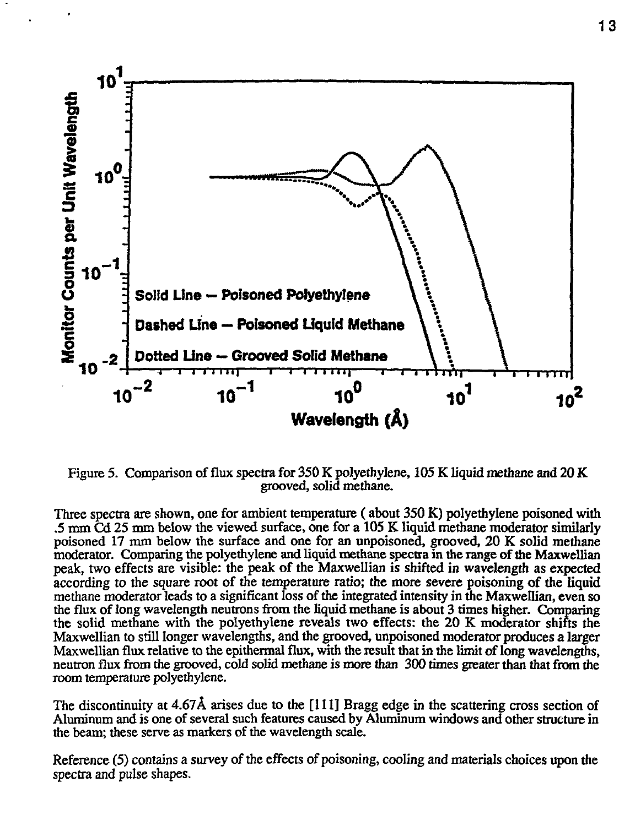

Figure 5. Comparison of flux spectra for 350 K polyethylene, 105 K liquid methane and 20 K grooved, solid methane.

Three spectra are shown, one for ambient temperature (about 350 K) polyethylene poisoned with .5 mm Cd 25 mm below the viewed surface, one for a 105 K liquid methane moderator similarly poisoned 17 mm below the surface and one for an unpoisoned, grooved, 20 K solid methane moderator. Comparing the polyethylene and liquid methane spectra in the range of the Maxwellian peak, two effects are visible: the peak of the Maxwellian is shifted in wavelength as expected according to the square root of the temperature ratio; the more severe poisoning of the liquid methane moderator leads to a significant loss of the integrated intensity in the Maxwellian, even so the flux of long wavelength neutrons from the liquid methane is about 3 times higher. Comparing the solid methane with the polyethylene reveals two effects: the 20 K moderator shifts the Maxwellian to still longer wavelengths, and the grooved, unpoisoned moderator produces a larger Maxwellian flux relative to the epithermal flux, with the result that in the limit of long wavelengths, neutron flux from the grooved, cold solid methane is more than 300 times greater than that from the room temperature polyethylene.

The discontinuity at 4.67A arises due to the [111] Bragg edge in the scattering cross section of Aluminum and is one of several such features caused by Aluminum windows and other structure in the beam; these serve as markers of the wavelength scale.

Reference (5) contains a survey of the effects of poisoning, cooling and materials choices upon the spectra and pulse shapes.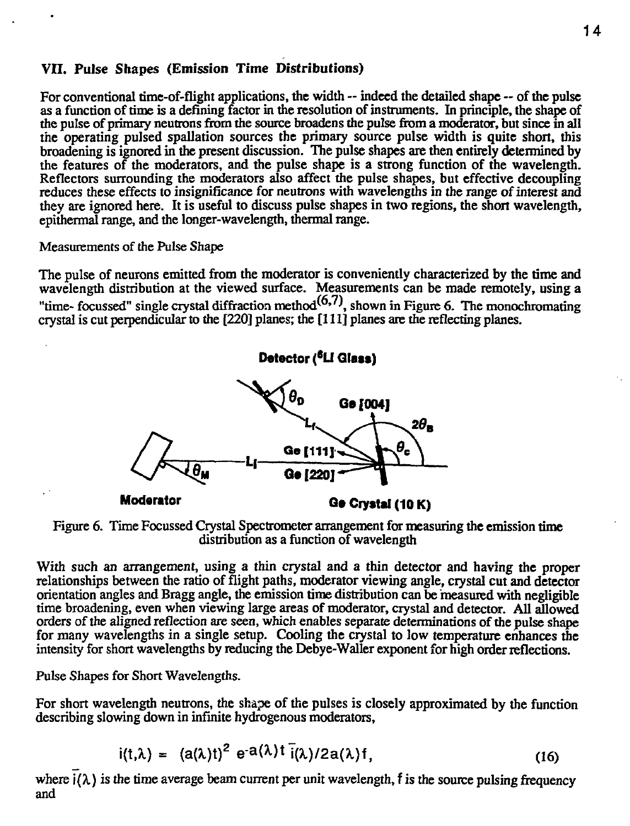# VII. Pulse Shapes (Emission Time Distributions)

For conventional time-of-flight applications, the width — indeed the detailed shape — of the pulse as a function of time is a defining factor in the resolution of instruments. In principle, the shape of the pulse of primary neutrons from the source broadens the pulse from a moderator, but since in all the operating pulsed spallation sources the primary source pulse width is quite short, this broadening is ignored in the present discussion. The pulse shapes are then entirely determined by the features of the moderators, and the pulse shape is a strong function of the wavelength. Reflectors surrounding the moderators also affect the pulse shapes, but effective decoupling reduces these effects to insignificance for neutrons with wavelengths in the range of interest and they are ignored here. It is useful to discuss pulse shapes in two regions, the short wavelength, epithermal range, and the longer-wavelength, thermal range.

Measurements of the Pulse Shape

The pulse of neurons emitted from the moderator is conveniently characterized by the time and wavelength distribution at the viewed surface. Measurements can be made remotely, using a "time- focussed" single crystal diffraction method $(6,7)$ , shown in Figure 6. The monochromating crystal is cut perpendicular to the [220] planes; the [111] planes are the reflecting planes.



Figure 6. Time Focussed Crystal Spectrometer arrangement for measuring the emission time distribution as a function of wavelength

With such an arrangement, using a thin crystal and a thin detector and having the proper relationships between the ratio of flight paths, moderator viewing angle, crystal cut and detector orientation angles and Bragg angle, the emission time distribution can be 'measured with negligible time broadening, even when viewing large areas of moderator, crystal and detector. All allowed orders of the aligned reflection are seen, which enables separate determinations of the pulse shape for many wavelengths in a single setup. Cooling the crystal to low temperature enhances the intensity for short wavelengths by reducing the Debye-Waller exponent for high order reflections.

Pulse Shapes for Short Wavelengths.

For short wavelength neutrons, the shape of the pulses is closely approximated by the function describing slowing down in infinite hydrogenous moderators,

$$
i(t,\lambda) = (a(\lambda)t)^2 e^{-a(\lambda)t} i(\lambda)/2a(\lambda)f,
$$
 (16)

where  $j(\lambda)$  is the time average beam current per unit wavelength, f is the source pulsing frequency and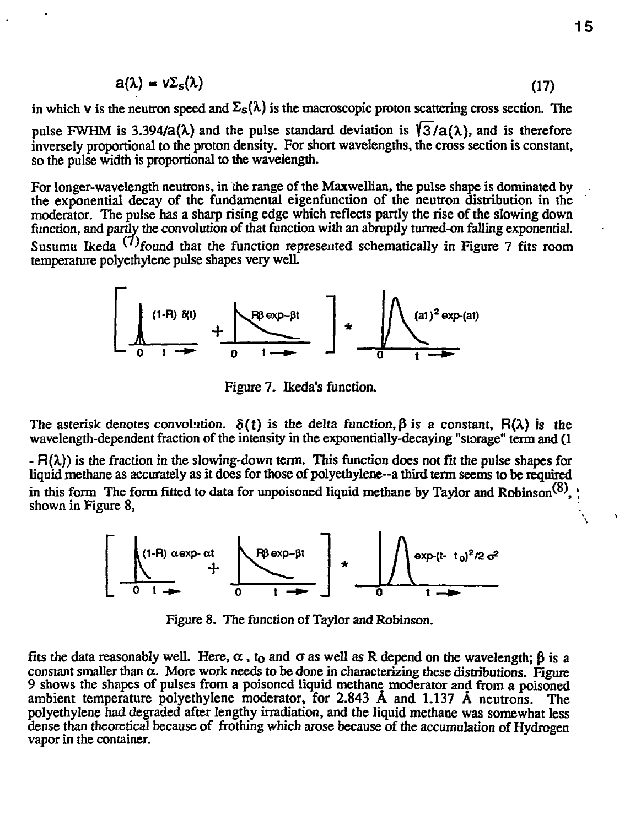$$
a(\lambda) = \nu \Sigma_{s}(\lambda) \tag{17}
$$

in which v is the neutron speed and  $\Sigma$ <sub>s</sub>( $\lambda$ ) is the macroscopic proton scattering cross section. The pulse FWHM is 3.394/a( $\lambda$ ) and the pulse standard deviation is  $\sqrt{3}/a(\lambda)$ , and is therefore inversely proportional to the proton density. For short wavelengths, the cross section is constant, so the pulse width is proportional to the wavelength.

For longer-wavelength neutrons, in the range of the Maxwellian, the pulse shape is dominated by the exponential decay of the fundamental eigenfunction of the neutron distribution in the moderator. The pulse has a sharp rising edge which reflects partly the rise of the slowing down function, and partly the convolution of that function with an abruptly tumed-on falling exponential. Susumu Ikeda <sup>(1)</sup>found that the function represented schematically in Figure 7 fits room temperature polyethylene pulse shapes very well.



Figure 7. Ikeda's function.

The asterisk denotes convolution.  $\delta(t)$  is the delta function,  $\beta$  is a constant,  $F(\lambda)$  is the wavelength-dependent fraction of the intensity in the exponentially-decaying "storage" term and (1

 $- R(\lambda)$ ) is the fraction in the slowing-down term. This function does not fit the pulse shapes for liquid methane as accurately as it does for those of polyethylene—a third term seems to be required in this form The form fitted to data for unpoisoned liquid methane by Taylor and Robinson<sup>(8)</sup>. shown in Figure 8,



Figure 8. The function of Taylor and Robinson.

fits the data reasonably well. Here,  $\alpha$ , t<sub>o</sub> and  $\sigma$  as well as R depend on the wavelength;  $\beta$  is a constant smaller than  $\alpha$ . More work needs to be done in characterizing these distributions. Figure 9 shows the shapes of pulses from a poisoned liquid methane moderator and from a poisoned ambient temperature polyethylene moderator, for 2.843 A and 1.137 A neutrons. The polyethylene had degraded after lengthy irradiation, and the liquid methane was somewhat less dense than theoretical because of frothing which arose because of the accumulation of Hydrogen vapor in the container.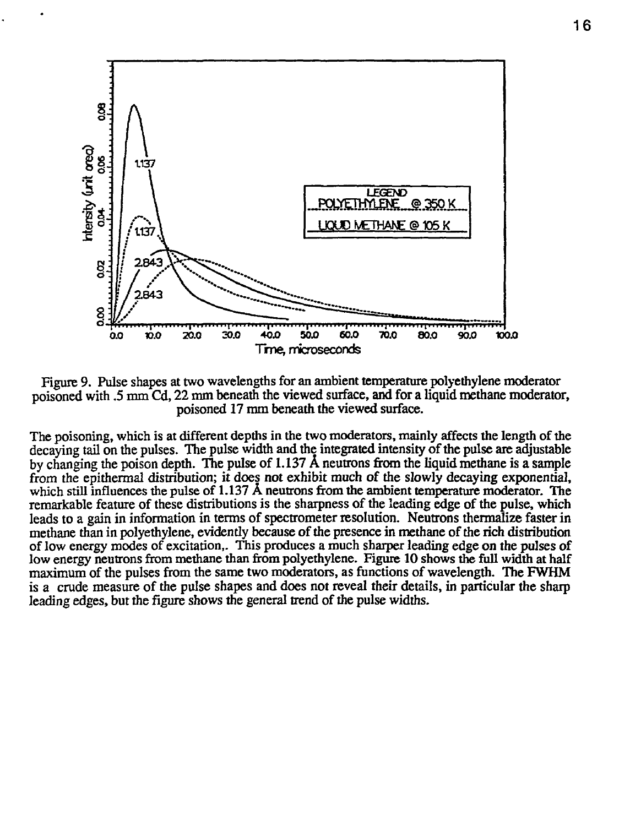

Figure 9. Pulse shapes at two wavelengths for an ambient temperature polyethylene moderator poisoned with .5 mm Cd, 22 mm beneath the viewed surface, and for a liquid methane moderator, poisoned 17 mm beneath the viewed surface.

The poisoning, which is at different depths in the two moderators, mainly affects the length of the decaying tail on the pulses. The pulse width and the integrated intensity of the pulse are adjustable by changing the poison depth. The pulse of 1.137 A neutrons from the liquid methane is a sample from the epithermal distribution; it does not exhibit much of the slowly decaying exponential, which still influences the pulse of 1.137 A neutrons from the ambient temperature moderator. The remarkable feature of these distributions is the sharpness of the leading edge of the pulse, which leads to a gain in information in terms of spectrometer resolution. Neutrons thermalize faster in methane than in polyethylene, evidently because of the presence in methane of the rich distribution of low energy modes of excitation,. This produces a much sharper leading edge on the pulses of low energy neutrons from methane than from polyethylene. Figure 10 shows the full width at half maximum of the pulses from the same two moderators, as functions of wavelength. The FWHM is a crude measure of the pulse shapes and does not reveal their details, in particular the sharp leading edges, but the figure shows the general trend of the pulse widths.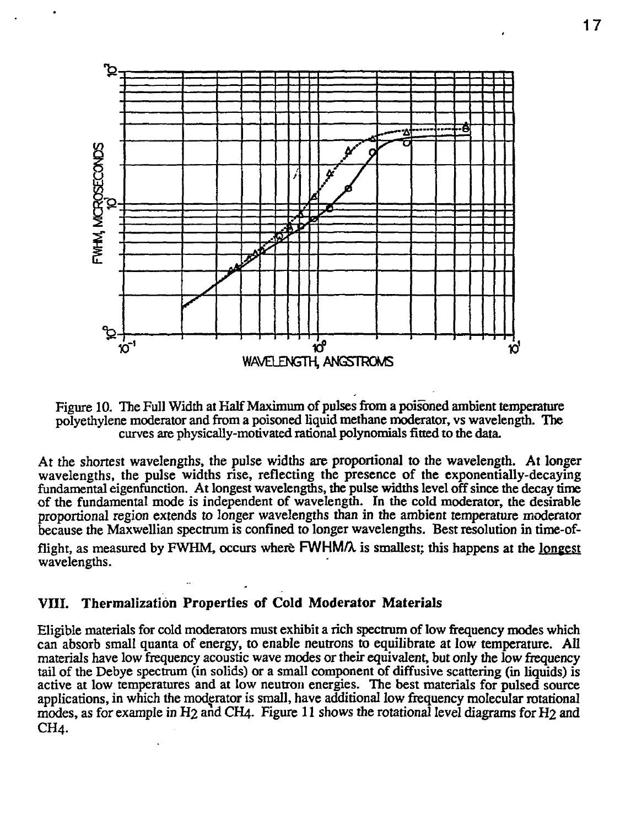

Figure 10. The Full Width at Half Maximum of pulses from a poisoned ambient temperature polyethylene moderator and from a poisoned liquid methane moderator, vs wavelength. The curves are physically-motivated rational polynomials fitted to the data.

At the shortest wavelengths, the pulse widths are proportional to the wavelength. At longer wavelengths, the pulse widths rise, reflecting the presence of the exponentially-decaying fundamental eigenfunction. At longest wavelengths, the pulse widths level off since the decay time of the fundamental mode is independent of wavelength. In the cold moderator, the desirable proportional region extends to longer wavelengths than in the ambient temperature moderator because the Maxwellian spectrum is confined to longer wavelengths. Best resolution in time-of-

flight, as measured by FWHM, occurs where FWHMA is smallest; this happens at the longest wavelengths.

# **VIII. Thermalization Properties of Cold Moderator Materials**

Eligible materials for cold moderators must exhibit a rich spectrum of low frequency modes which can absorb small quanta of energy, to enable neutrons to equilibrate at low temperature. All materials have low frequency acoustic wave modes or their equivalent, but only the low frequency tail of the Debye spectrum (in solids) or a small component of diffusive scattering (in liquids) is active at low temperatures and at low neutron energies. The best materials for pulsed source applications, in which the moderator is small, have additional low frequency molecular rotational modes, as for example in H<sub>2</sub> and CH<sub>4</sub>. Figure 11 shows the rotational level diagrams for H<sub>2</sub> and CH<sub>4</sub>.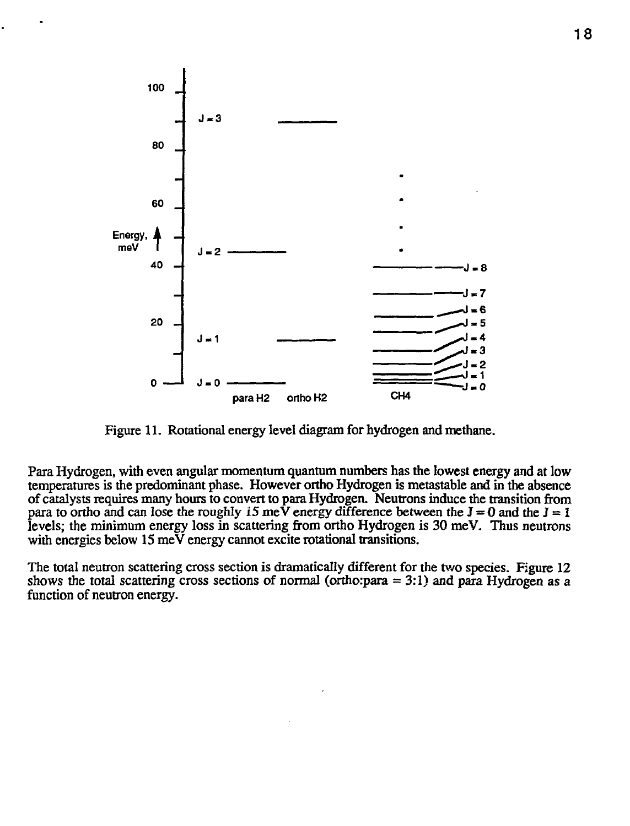

Figure 11. Rotational energy level diagram for hydrogen and methane.

Para Hydrogen, with even angular momentum quantum numbers has the lowest energy and at low temperatures is the predominant phase. However ortho Hydrogen is metastable and in the absence of catalysts requires many hours to convert to para Hydrogen. Neutrons induce the transition from para to ortho and can lose the roughly 15 meV energy difference between the  $J = 0$  and the  $J = 1$ levels; the minimum energy loss in scattering from ortho Hydrogen is 30 meV. Thus neutrons with energies below 15 meV energy cannot excite rotational transitions.

The total neutron scattering cross section is dramatically different for the two species. Figure 12 shows the total scattering cross sections of normal (ortho:para  $= 3:1$ ) and para Hydrogen as a function of neutron energy.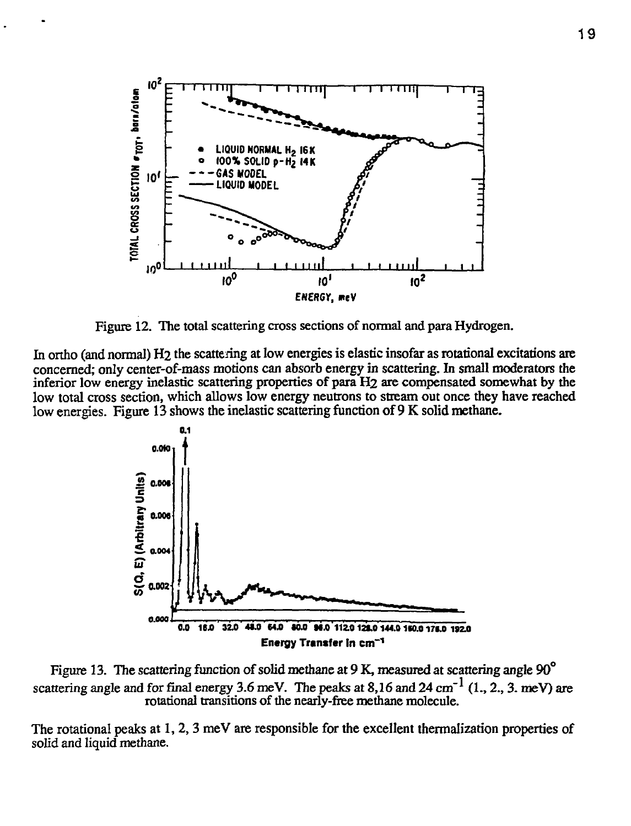

Figure 12. The total scattering cross sections of normal and para Hydrogen.

In ortho (and normal) H2 the scattering at low energies is elastic insofar as rotational excitations are concerned; only center-of-mass motions can absorb energy in scattering. In small moderators the inferior low energy inelastic scattering properties of para H2 are compensated somewhat by the low total cross section, which allows low energy neutrons to stream out once they have reached low energies. Figure 13 shows the inelastic scattering function of 9 K solid methane.



Figure 13. The scattering function of solid methane at 9 K, measured at scattering angle  $90^{\circ}$ scattering angle and for final energy 3.6 meV. The peaks at  $8,16$  and  $24 \text{ cm}^{-1}$  (1, 2, 3, meV) are rotational transitions of the nearly-free methane molecule.

The rotational peaks at 1, 2, 3 meV are responsible for the excellent thermalization properties of solid and liquid methane.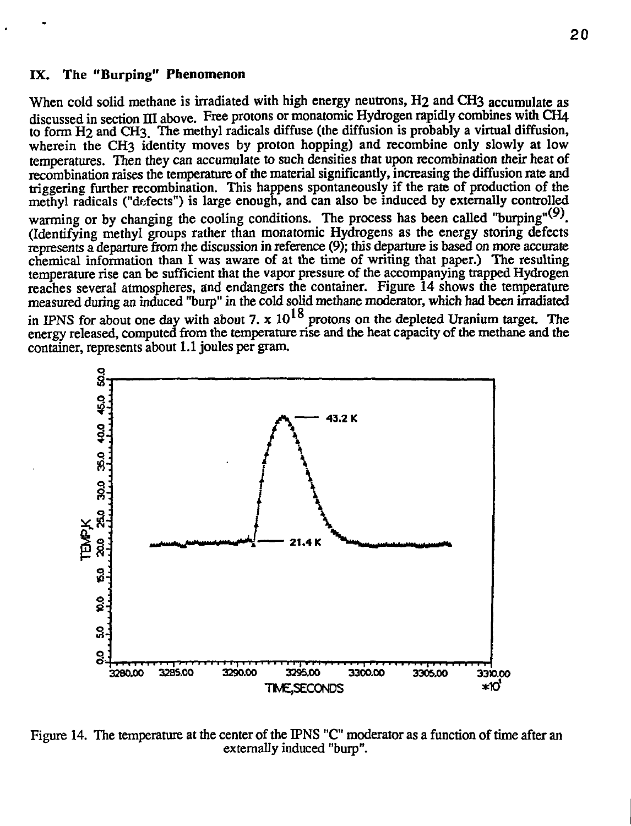#### **IX. The "Burping" Phenomenon**

When cold solid methane is irradiated with high energy neutrons, H<sub>2</sub> and CH<sub>3</sub> accumulate as discussed in section III above. Free protons or monatomic Hydrogen rapidly combines with CH4 to form H2 and CH3. The methyl radicals diffuse (the diffusion is probably a virtual diffusion, wherein the CH3 identity moves by proton hopping) and recombine only slowly at low temperatures. Then they can accumulate to such densities that upon recombination their heat of recombination raises the temperature of the material significantly, increasing the diffusion rate and triggering further recombination. This happens spontaneously if the rate of production of the methyl radicals ("defects") is large enough, and can also be induced by externally controlled warming or by changing the cooling conditions. The process has been called "burping" $(9)$ . (Identifying methyl groups rather than monatomic Hydrogens as the energy storing defects represents a departure from the discussion in reference (9); this departure is based on more accurate chemical information than I was aware of at the time of writing that paper.) The resulting temperature rise can be sufficient that the vapor pressure of the accompanying trapped Hydrogen reaches several atmospheres, and endangers the container. Figure 14 shows the temperature measured during an induced "burp" in the cold solid methane moderator, which had been irradiated in IPNS for about one day with about 7.  $x$  10<sup>1</sup>° protons on the depleted Uranium target. The energy released, computed from the temperature rise and the heat capacity of the methane and the container, represents about 1.1 joules per gram.



Figure 14. The temperature at the center of the IPNS "C" moderator as a function of time after an externally induced "burp".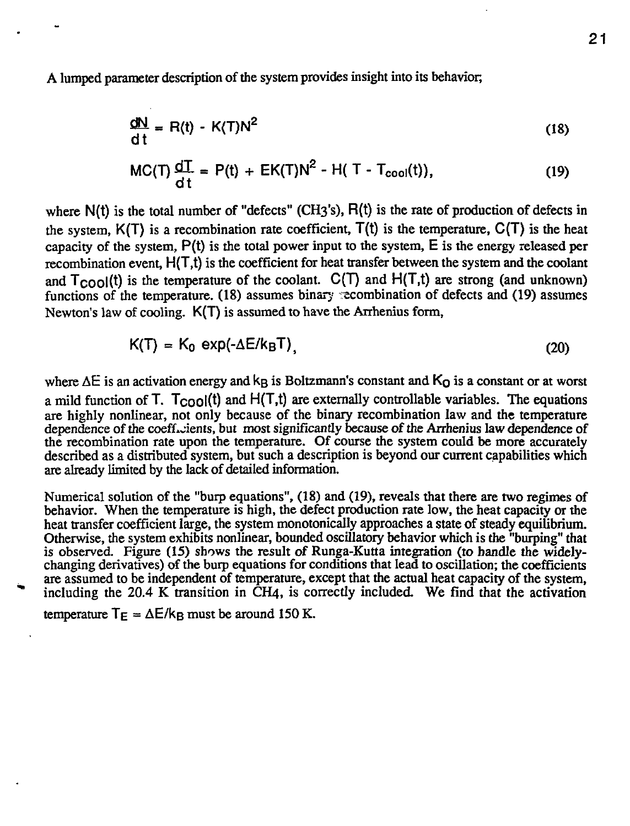A lumped parameter description of the system provides insight into its behavior,

$$
\frac{dN}{dt} = R(t) - K(T)N^2
$$
 (18)

$$
MC(T) \frac{dT}{dt} = P(t) + EK(T)N^{2} - H(T - T_{cool}(t)),
$$
 (19)

where N(t) is the total number of "defects" (CH3's), R(t) is the rate of production of defects in the system,  $K(T)$  is a recombination rate coefficient,  $T(t)$  is the temperature,  $C(T)$  is the heat capacity of the system, P(t) is the total power input to the system, E is the energy released per recombination event, H(T,t) is the coefficient for heat transfer between the system and the coolant and  $T_{COO}(t)$  is the temperature of the coolant. C(T) and  $H(T,t)$  are strong (and unknown) functions of the temperature. (18) assumes binary recombination of defects and (19) assumes Newton's law of cooling. K(T) is assumed to have the Arrhenius form,

$$
K(T) = K_0 \exp(-\Delta E / k_B T), \qquad (20)
$$

where  $\Delta E$  is an activation energy and k<sub>B</sub> is Boltzmann's constant and  $K<sub>O</sub>$  is a constant or at worst a mild function of T.  $T_{COO}(t)$  and  $H(T,t)$  are externally controllable variables. The equations are highly nonlinear, not only because of the binary recombination law and the temperature dependence of the coefficients, but most significantly because of the Arrhenius law dependence of the recombination rate upon the temperature. Of course the system could be more accurately described as a distributed system, but such a description is beyond our current capabilities which are already limited by the lack of detailed information.

Numerical solution of the "burp equations", (18) and (19), reveals that there are two regimes of behavior. When the temperature is high, the defect production rate low, the heat capacity or the heat transfer coefficient large, the system monotonically approaches a state of steady equilibrium. Otherwise, the system exhibits nonlinear, bounded oscillatory behavior which is the "burping" that is observed. Figure (15) shows the result of Runga-Kutta integration (to handle the widelychanging derivatives) of the burp equations for conditions that lead to oscillation; the coefficients are assumed to be independent of temperature, except that the actual heat capacity of the system, including the 20.4 K transition in CH4, is correctly included. We find that the activation

temperature  $T_E = \Delta E / k_B$  must be around 150 K.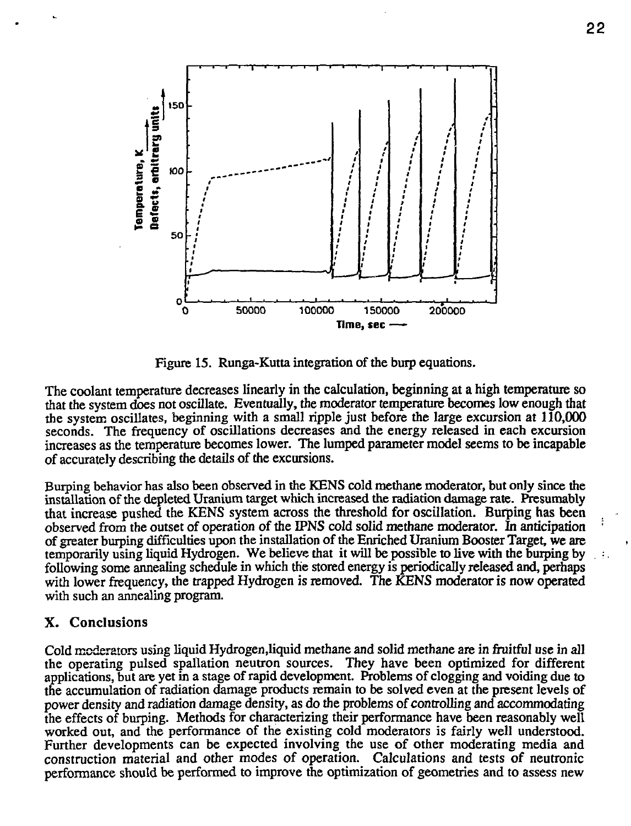

Figure 15. Runga-Kutta integration of the burp equations.

The coolant temperature decreases linearly in the calculation, beginning at a high temperature so that the system does not oscillate. Eventually, the moderator temperature becomes low enough that the system oscillates, beginning with a small ripple just before the large excursion at 110,000 seconds. The frequency of oscillations decreases and the energy released in each excursion increases as the temperature becomes lower. The lumped parameter model seems to be incapable of accurately describing the details of the excursions.

Burping behavior has also been observed in the KENS cold methane moderator, but only since the installation of the depleted Uranium target which increased the radiation damage rate. Presumably that increase pushed the *KENS* system across the threshold for oscillation. Burping has been observed from the outset of operation of the IPNS cold solid methane moderator. In anticipation of greater burping difficulties upon the installation of the Enriched Uranium Booster Target, we arc temporarily using liquid Hydrogen. We believe that it will be possible to live with the burping by following some annealing schedule in which the stored energy is periodically released and, perhaps with lower frequency, the trapped Hydrogen is removed. The KENS moderator is now operated with such an annealing program.

#### X. Conclusions

Cold moderators using liquid Hydrogen,liquid methane and solid methane are in fruitful use in all the operating pulsed spallation neutron sources. They have been optimized for different applications, but are yet in a stage of rapid development. Problems of clogging and voiding due to the accumulation of radiation damage products remain to be solved even at the present levels of power density and radiation damage density, as do the problems of controlling and accommodating the effects of burping. Methods for characterizing their performance have been reasonably well worked out, and the performance of the existing cold moderators is fairly well understood. Further developments can be expected involving the use of other moderating media and construction material and other modes of operation. Calculations and tests of neutronic performance should be performed to improve the optimization of geometries and to assess new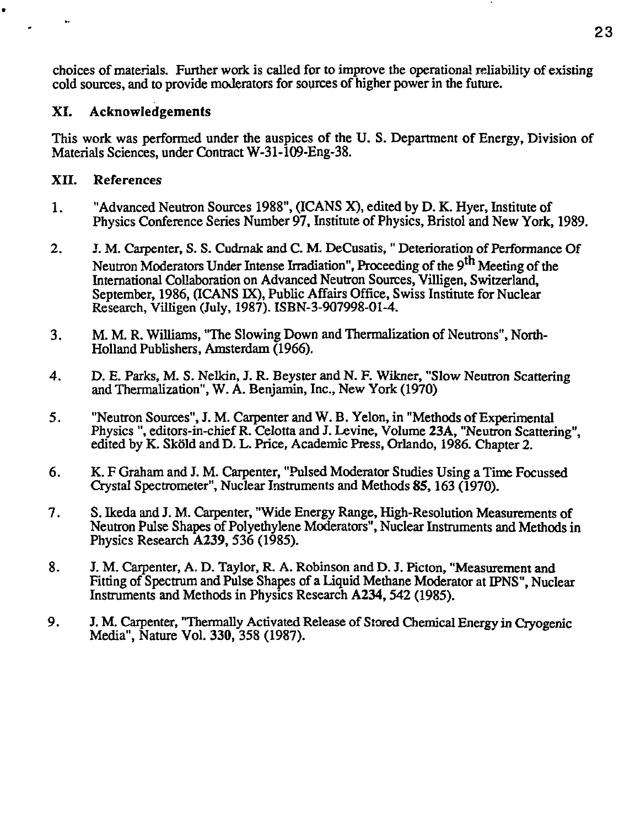choices of materials. Further work is called for to improve the operational reliability of existing cold sources, and to provide moderators for sources of higher power in the future.

# **XI. Acknowledgements**

This work was performed under the auspices of the U. S. Department of Energy, Division of Materials Sciences, under Contract W-31-109-Eng-38.

# **XII.** References

.

- 1. "Advanced Neutron Sources 1988", (ICANS X), edited by D. K. Hyer, Institute of Physics Conference Series Number 97, Institute of Physics, Bristol and New York, 1989.
- 2. J. M. Carpenter, S. S. Cudrnak and C. M. DeCusatis, " Deterioration of Performance Of Neutron Moderators Under Intense Irradiation", Proceeding of the 9<sup>th</sup> Meeting of the International Collaboration on Advanced Neutron Sources, Villigen, Switzerland, September, 1986, (ICANS IX), Public Affairs Office, Swiss Institute for Nuclear Research, Villigen (July, 1987). ISBN-3-907998-01-4.
- 3. M. M. R. Williams, "The Slowing Down and Thermalization of Neutrons", North-Holland Publishers, Amsterdam (1966).
- 4. D. E. Parks, M. S. Nelkin, J. R. Beyster and N. F. Wikner, "Slow Neutron Scattering and Thermalization", W. A. Benjamin, Inc., New York (1970)
- 5. "Neutron Sources", J. M. Carpenter and W. B. Yelon, in "Methods of Experimental Physics ", editors-in-chief R. Celottaand J. Levine, Volume 23A, "Neutron Scattering", edited by K. Skold and D. L. Price, Academic Press, Orlando, 1986. Chapter 2.
- 6. K. F Graham and J. M. Carpenter, "Pulsed Moderator Studies Using a Time Focussed Crystal Spectrometer", Nuclear Instruments and Methods 85,163 (1970).
- 7. S. Ikeda and J. M. Carpenter, "Wide Energy Range, High-Resolution Measurements of Neutron Pulse Shapes of Polyethylene Moderators", Nuclear Instruments and Methods in Physics Research **A239,** 536 (1985).
- 8. J. M. Carpenter, A. D. Taylor, R. A. Robinson and D. J. Picton, "Measurement and Fitting of Spectrum and Pulse Shapes of a Liquid Methane Moderator at IPNS", Nuclear Instruments and Methods in Physics Research **A234,**542 (1985).
- 9. J. M. Carpenter, "Thermally Activated Release of Stored Chemical Energy in Cryogenic Media", Nature Vol. 330, 358 (1987).